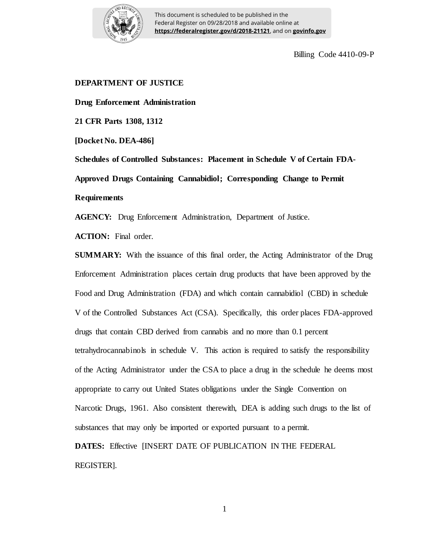

Billing Code 4410-09-P

# **DEPARTMENT OF JUSTICE**

**Drug Enforcement Administration**

**21 CFR Parts 1308, 1312**

**[Docket No. DEA-486]**

**Schedules of Controlled Substances: Placement in Schedule V of Certain FDA-Approved Drugs Containing Cannabidiol; Corresponding Change to Permit Requirements**

**AGENCY:** Drug Enforcement Administration, Department of Justice.

**ACTION:** Final order.

**SUMMARY:** With the issuance of this final order, the Acting Administrator of the Drug Enforcement Administration places certain drug products that have been approved by the Food and Drug Administration (FDA) and which contain cannabidiol (CBD) in schedule V of the Controlled Substances Act (CSA). Specifically, this order places FDA-approved drugs that contain CBD derived from cannabis and no more than 0.1 percent tetrahydrocannabinols in schedule V. This action is required to satisfy the responsibility of the Acting Administrator under the CSA to place a drug in the schedule he deems most appropriate to carry out United States obligations under the Single Convention on Narcotic Drugs, 1961. Also consistent therewith, DEA is adding such drugs to the list of substances that may only be imported or exported pursuant to a permit.

**DATES:** Effective [INSERT DATE OF PUBLICATION IN THE FEDERAL REGISTER].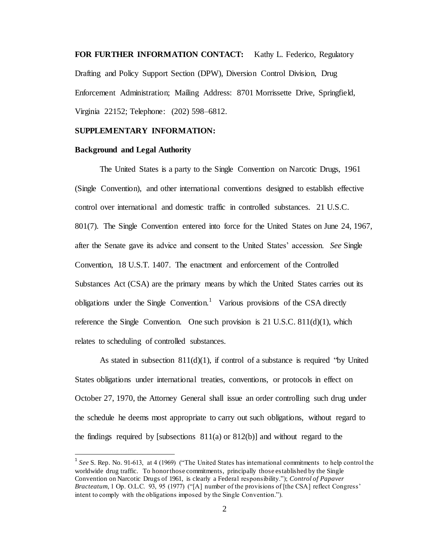**FOR FURTHER INFORMATION CONTACT:** Kathy L. Federico, Regulatory Drafting and Policy Support Section (DPW), Diversion Control Division, Drug Enforcement Administration; Mailing Address: 8701 Morrissette Drive, Springfield, Virginia 22152; Telephone: (202) 598–6812.

## **SUPPLEMENTARY INFORMATION:**

#### **Background and Legal Authority**

l

The United States is a party to the Single Convention on Narcotic Drugs, 1961 (Single Convention), and other international conventions designed to establish effective control over international and domestic traffic in controlled substances. 21 U.S.C. 801(7). The Single Convention entered into force for the United States on June 24, 1967, after the Senate gave its advice and consent to the United States' accession. *See* Single Convention, 18 U.S.T. 1407. The enactment and enforcement of the Controlled Substances Act (CSA) are the primary means by which the United States carries out its obligations under the Single Convention.<sup>1</sup> Various provisions of the CSA directly reference the Single Convention. One such provision is  $21$  U.S.C.  $811(d)(1)$ , which relates to scheduling of controlled substances.

As stated in subsection  $811(d)(1)$ , if control of a substance is required "by United" States obligations under international treaties, conventions, or protocols in effect on October 27, 1970, the Attorney General shall issue an order controlling such drug under the schedule he deems most appropriate to carry out such obligations, without regard to the findings required by [subsections  $811(a)$  or  $812(b)$ ] and without regard to the

<sup>&</sup>lt;sup>1</sup> See S. Rep. No. 91-613, at 4 (1969) ("The United States has international commitments to help control the worldwide drug traffic. To honor those commitments, principally those established by the Single Convention on Narcotic Drugs of 1961, is clearly a Federal responsibility."); *Control of Papaver Bracteatum*, 1 Op. O.L.C. 93, 95 (1977) ("[A] number of the provisions of [the CSA] reflect Congress' intent to comply with the obligations imposed by the Single Convention.").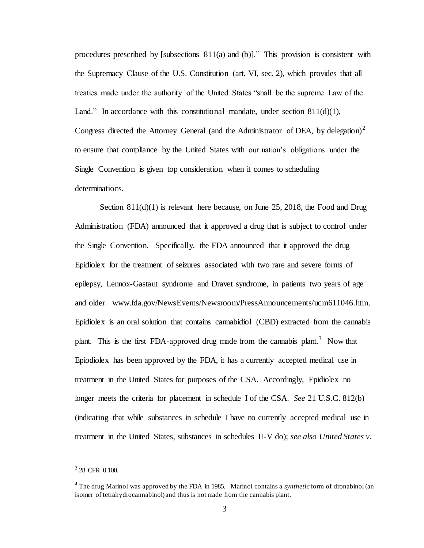procedures prescribed by [subsections 811(a) and (b)]." This provision is consistent with the Supremacy Clause of the U.S. Constitution (art. VI, sec. 2), which provides that all treaties made under the authority of the United States "shall be the supreme Law of the Land." In accordance with this constitutional mandate, under section  $811(d)(1)$ , Congress directed the Attorney General (and the Administrator of DEA, by delegation)<sup>2</sup> to ensure that compliance by the United States with our nation's obligations under the Single Convention is given top consideration when it comes to scheduling determinations.

Section 811(d)(1) is relevant here because, on June 25, 2018, the Food and Drug Administration (FDA) announced that it approved a drug that is subject to control under the Single Convention. Specifically, the FDA announced that it approved the drug Epidiolex for the treatment of seizures associated with two rare and severe forms of epilepsy, Lennox-Gastaut syndrome and Dravet syndrome, in patients two years of age and older. www.fda.gov/NewsEvents/Newsroom/PressAnnouncements/ucm611046.htm. Epidiolex is an oral solution that contains cannabidiol (CBD) extracted from the cannabis plant. This is the first FDA-approved drug made from the cannabis plant.<sup>3</sup> Now that Epiodiolex has been approved by the FDA, it has a currently accepted medical use in treatment in the United States for purposes of the CSA. Accordingly, Epidiolex no longer meets the criteria for placement in schedule I of the CSA. *See* 21 U.S.C. 812(b) (indicating that while substances in schedule I have no currently accepted medical use in treatment in the United States, substances in schedules II-V do); *see also United States v.* 

l

 $2$  28 CFR 0.100.

<sup>&</sup>lt;sup>3</sup> The drug Marinol was approved by the FDA in 1985. Marinol contains a *synthetic* form of dronabinol (an isomer of tetrahydrocannabinol) and thus is not made from the cannabis plant.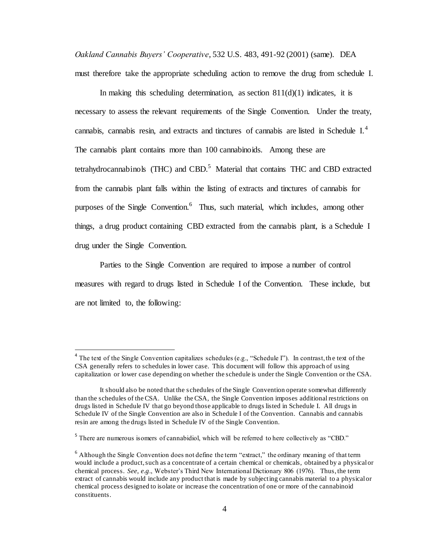*Oakland Cannabis Buyers' Cooperative*, 532 U.S. 483, 491-92 (2001) (same). DEA must therefore take the appropriate scheduling action to remove the drug from schedule I.

In making this scheduling determination, as section  $811(d)(1)$  indicates, it is necessary to assess the relevant requirements of the Single Convention. Under the treaty, cannabis, cannabis resin, and extracts and tinctures of cannabis are listed in Schedule I.<sup>4</sup> The cannabis plant contains more than 100 cannabinoids. Among these are tetrahydrocannabinols (THC) and CBD.<sup>5</sup> Material that contains THC and CBD extracted from the cannabis plant falls within the listing of extracts and tinctures of cannabis for purposes of the Single Convention.<sup>6</sup> Thus, such material, which includes, among other things, a drug product containing CBD extracted from the cannabis plant, is a Schedule I drug under the Single Convention.

Parties to the Single Convention are required to impose a number of control measures with regard to drugs listed in Schedule I of the Convention. These include, but are not limited to, the following:

 $\overline{a}$ 

 $4$  The text of the Single Convention capitalizes schedules (e.g., "Schedule I"). In contrast, the text of the CSA generally refers to schedules in lower case. This document will follow this approach of using capitalization or lower case depending on whether the schedule is under the Single Convention or the CSA.

It should also be noted that the schedules of the Single Convention operate somewhat differently than the schedules of the CSA. Unlike the CSA, the Single Convention imposes additional restrictions on drugs listed in Schedule IV that go beyond those applicable to drugs listed in Schedule I. All drugs in Schedule IV of the Single Convention are also in Schedule I of the Convention. Cannabis and cannabis resin are among the drugs listed in Schedule IV of the Single Convention.

<sup>&</sup>lt;sup>5</sup> There are numerous isomers of cannabidiol, which will be referred to here collectively as "CBD."

 $6$  Although the Single Convention does not define the term "extract," the ordinary meaning of that term would include a product, such as a concentrate of a certain chemical or chemicals, obtained by a physical or chemical process. *See*, *e.g*., Webster's Third New International Dictionary 806 (1976). Thus, the term extract of cannabis would include any product that is made by subjecting cannabis material to a physical or chemical process designed to isolate or increase the concentration of one or more of the cannabinoid constituents.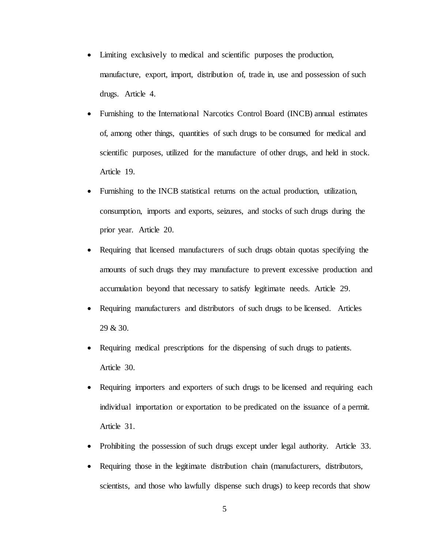- Limiting exclusively to medical and scientific purposes the production, manufacture, export, import, distribution of, trade in, use and possession of such drugs. Article 4.
- Furnishing to the International Narcotics Control Board (INCB) annual estimates of, among other things, quantities of such drugs to be consumed for medical and scientific purposes, utilized for the manufacture of other drugs, and held in stock. Article 19.
- Furnishing to the INCB statistical returns on the actual production, utilization, consumption, imports and exports, seizures, and stocks of such drugs during the prior year. Article 20.
- Requiring that licensed manufacturers of such drugs obtain quotas specifying the amounts of such drugs they may manufacture to prevent excessive production and accumulation beyond that necessary to satisfy legitimate needs. Article 29.
- Requiring manufacturers and distributors of such drugs to be licensed. Articles 29 & 30.
- Requiring medical prescriptions for the dispensing of such drugs to patients. Article 30.
- Requiring importers and exporters of such drugs to be licensed and requiring each individual importation or exportation to be predicated on the issuance of a permit. Article 31.
- Prohibiting the possession of such drugs except under legal authority. Article 33.
- Requiring those in the legitimate distribution chain (manufacturers, distributors, scientists, and those who lawfully dispense such drugs) to keep records that show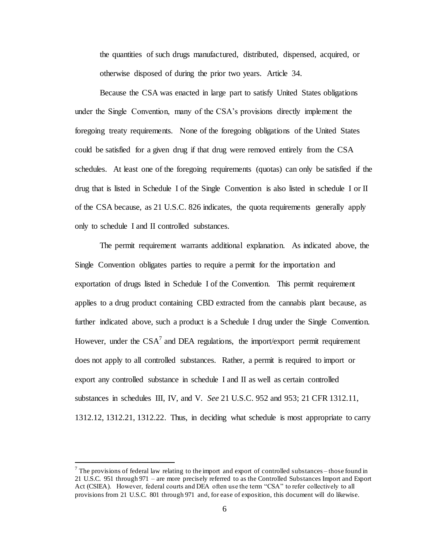the quantities of such drugs manufactured, distributed, dispensed, acquired, or otherwise disposed of during the prior two years. Article 34.

Because the CSA was enacted in large part to satisfy United States obligations under the Single Convention, many of the CSA's provisions directly implement the foregoing treaty requirements. None of the foregoing obligations of the United States could be satisfied for a given drug if that drug were removed entirely from the CSA schedules. At least one of the foregoing requirements (quotas) can only be satisfied if the drug that is listed in Schedule I of the Single Convention is also listed in schedule I or II of the CSA because, as 21 U.S.C. 826 indicates, the quota requirements generally apply only to schedule I and II controlled substances.

The permit requirement warrants additional explanation. As indicated above, the Single Convention obligates parties to require a permit for the importation and exportation of drugs listed in Schedule I of the Convention. This permit requirement applies to a drug product containing CBD extracted from the cannabis plant because, as further indicated above, such a product is a Schedule I drug under the Single Convention. However, under the  $CSA<sup>7</sup>$  and DEA regulations, the import/export permit requirement does not apply to all controlled substances. Rather, a permit is required to import or export any controlled substance in schedule I and II as well as certain controlled substances in schedules III, IV, and V. *See* 21 U.S.C. 952 and 953; 21 CFR 1312.11, 1312.12, 1312.21, 1312.22. Thus, in deciding what schedule is most appropriate to carry

l

 $<sup>7</sup>$  The provisions of federal law relating to the import and export of controlled substances – those found in</sup> 21 U.S.C. 951 through 971 – are more precisely referred to as the Controlled Substances Import and Export Act (CSIEA). However, federal courts and DEA often use the term "CSA" to refer collectively to all provisions from 21 U.S.C. 801 through 971 and, for ease of exposition, this document will do likewise.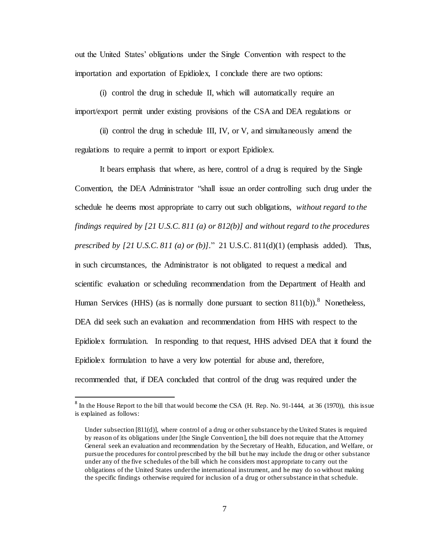out the United States' obligations under the Single Convention with respect to the importation and exportation of Epidiolex, I conclude there are two options:

(i) control the drug in schedule II, which will automatically require an import/export permit under existing provisions of the CSA and DEA regulations or

(ii) control the drug in schedule III, IV, or V, and simultaneously amend the regulations to require a permit to import or export Epidiolex.

It bears emphasis that where, as here, control of a drug is required by the Single Convention, the DEA Administrator "shall issue an order controlling such drug under the schedule he deems most appropriate to carry out such obligations, *without regard to the findings required by [21 U.S.C. 811 (a) or 812(b)] and without regard to the procedures prescribed by [21 U.S.C. 811 (a) or (b)].*"21 U.S.C. 811(d)(1) (emphasis added). Thus, in such circumstances, the Administrator is not obligated to request a medical and scientific evaluation or scheduling recommendation from the Department of Health and Human Services (HHS) (as is normally done pursuant to section  $811(b)$ ).<sup>8</sup> Nonetheless, DEA did seek such an evaluation and recommendation from HHS with respect to the Epidiolex formulation. In responding to that request, HHS advised DEA that it found the Epidiolex formulation to have a very low potential for abuse and, therefore, recommended that, if DEA concluded that control of the drug was required under the

 $\overline{a}$ 

 $8 \text{ In the House Report to the bill that would become the CSA (H. Rep. No. 91-1444, at 36 (1970)), this issue.}$ is explained as follows:

Under subsection [811(d)], where control of a drug or other substance by the United States is required by reason of its obligations under [the Single Convention], the bill does not require that the Attorney General seek an evaluation and recommendation by the Secretary of Health, Education, and Welfare, or pursue the procedures for control prescribed by the bill but he may include the drug or other substance under any of the five schedules of the bill which he considers most appropriate to carry out the obligations of the United States under the international instrument, and he may do so without making the specific findings otherwise required for inclusion of a drug or other substance in that schedule.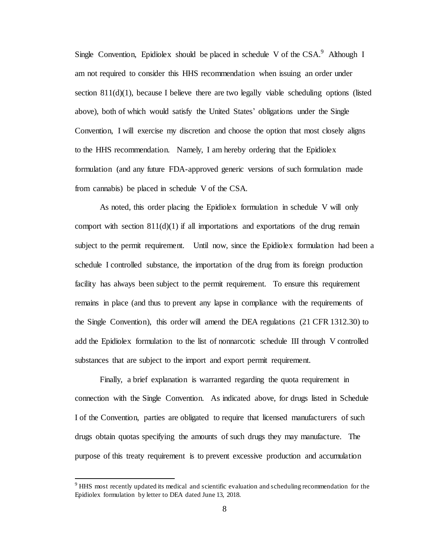Single Convention, Epidiolex should be placed in schedule V of the  $CSA$ . Although I am not required to consider this HHS recommendation when issuing an order under section  $811(d)(1)$ , because I believe there are two legally viable scheduling options (listed above), both of which would satisfy the United States' obligations under the Single Convention, I will exercise my discretion and choose the option that most closely aligns to the HHS recommendation. Namely, I am hereby ordering that the Epidiolex formulation (and any future FDA-approved generic versions of such formulation made from cannabis) be placed in schedule V of the CSA.

As noted, this order placing the Epidiolex formulation in schedule V will only comport with section  $811(d)(1)$  if all importations and exportations of the drug remain subject to the permit requirement. Until now, since the Epidiolex formulation had been a schedule I controlled substance, the importation of the drug from its foreign production facility has always been subject to the permit requirement. To ensure this requirement remains in place (and thus to prevent any lapse in compliance with the requirements of the Single Convention), this order will amend the DEA regulations (21 CFR 1312.30) to add the Epidiolex formulation to the list of nonnarcotic schedule III through V controlled substances that are subject to the import and export permit requirement.

Finally, a brief explanation is warranted regarding the quota requirement in connection with the Single Convention. As indicated above, for drugs listed in Schedule I of the Convention, parties are obligated to require that licensed manufacturers of such drugs obtain quotas specifying the amounts of such drugs they may manufacture. The purpose of this treaty requirement is to prevent excessive production and accumulation

l

<sup>9</sup> HHS most recently updated its medical and scientific evaluation and scheduling recommendation for the Epidiolex formulation by letter to DEA dated June 13, 2018.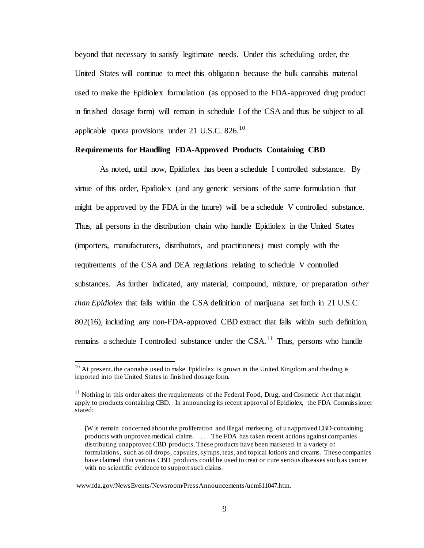beyond that necessary to satisfy legitimate needs. Under this scheduling order, the United States will continue to meet this obligation because the bulk cannabis material used to make the Epidiolex formulation (as opposed to the FDA-approved drug product in finished dosage form) will remain in schedule I of the CSA and thus be subject to all applicable quota provisions under 21 U.S.C. 826. $^{10}$ 

# **Requirements for Handling FDA-Approved Products Containing CBD**

As noted, until now, Epidiolex has been a schedule I controlled substance. By virtue of this order, Epidiolex (and any generic versions of the same formulation that might be approved by the FDA in the future) will be a schedule V controlled substance. Thus, all persons in the distribution chain who handle Epidiolex in the United States (importers, manufacturers, distributors, and practitioners) must comply with the requirements of the CSA and DEA regulations relating to schedule V controlled substances. As further indicated, any material, compound, mixture, or preparation *other than Epidiolex* that falls within the CSA definition of marijuana set forth in 21 U.S.C. 802(16), including any non-FDA-approved CBD extract that falls within such definition, remains a schedule I controlled substance under the  $CSA$ .<sup>11</sup> Thus, persons who handle

 $\overline{a}$ 

 $10<sup>10</sup>$  At present, the cannabis used to make Epidiolex is grown in the United Kingdom and the drug is imported into the United States in finished dosage form.

 $11$  Nothing in this order alters the requirements of the Federal Food, Drug, and Cosmetic Act that might apply to products containing CBD. In announcing its recent approval of Epidiolex, the FDA Commissioner stated:

<sup>[</sup>W]e remain concerned about the proliferation and illegal marketing of unapproved CBD-containing products with unproven medical claims. . . . The FDA has taken recent actions against companies distributing unapproved CBD products. These products have been marketed in a variety of formulations, such as oil drops, capsules, syrups, teas, and topical lotions and creams. These companies have claimed that various CBD products could be used to treat or cure serious diseases such as cancer with no scientific evidence to support such claims.

www.fda.gov/NewsEvents/Newsroom/PressAnnouncements/ucm611047.htm.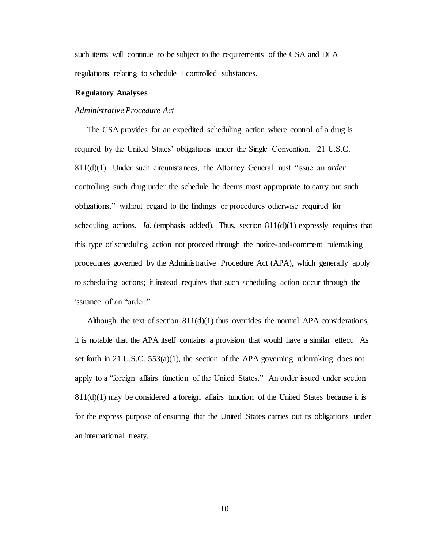such items will continue to be subject to the requirements of the CSA and DEA regulations relating to schedule I controlled substances.

# **Regulatory Analyses**

l

## *Administrative Procedure Act*

The CSA provides for an expedited scheduling action where control of a drug is required by the United States' obligations under the Single Convention. 21 U.S.C. 811(d)(1). Under such circumstances, the Attorney General must "issue an *order* controlling such drug under the schedule he deems most appropriate to carry out such obligations," without regard to the findings or procedures otherwise required for scheduling actions. *Id.* (emphasis added). Thus, section  $811(d)(1)$  expressly requires that this type of scheduling action not proceed through the notice-and-comment rulemaking procedures governed by the Administrative Procedure Act (APA), which generally apply to scheduling actions; it instead requires that such scheduling action occur through the issuance of an "order."

Although the text of section  $811(d)(1)$  thus overrides the normal APA considerations, it is notable that the APA itself contains a provision that would have a similar effect. As set forth in 21 U.S.C. 553(a)(1), the section of the APA governing rulemaking does not apply to a "foreign affairs function of the United States." An order issued under section  $811(d)(1)$  may be considered a foreign affairs function of the United States because it is for the express purpose of ensuring that the United States carries out its obligations under an international treaty.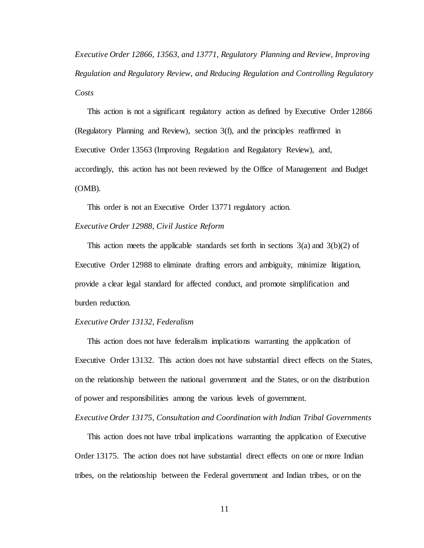*Executive Order 12866, 13563, and 13771, Regulatory Planning and Review, Improving Regulation and Regulatory Review, and Reducing Regulation and Controlling Regulatory Costs*

This action is not a significant regulatory action as defined by Executive Order 12866 (Regulatory Planning and Review), section 3(f), and the principles reaffirmed in Executive Order 13563 (Improving Regulation and Regulatory Review), and, accordingly, this action has not been reviewed by the Office of Management and Budget (OMB).

This order is not an Executive Order 13771 regulatory action. *Executive Order 12988, Civil Justice Reform*

This action meets the applicable standards set forth in sections  $3(a)$  and  $3(b)(2)$  of Executive Order 12988 to eliminate drafting errors and ambiguity, minimize litigation, provide a clear legal standard for affected conduct, and promote simplification and burden reduction.

## *Executive Order 13132, Federalism*

This action does not have federalism implications warranting the application of Executive Order 13132. This action does not have substantial direct effects on the States, on the relationship between the national government and the States, or on the distribution of power and responsibilities among the various levels of government.

*Executive Order 13175, Consultation and Coordination with Indian Tribal Governments*

This action does not have tribal implications warranting the application of Executive Order 13175. The action does not have substantial direct effects on one or more Indian tribes, on the relationship between the Federal government and Indian tribes, or on the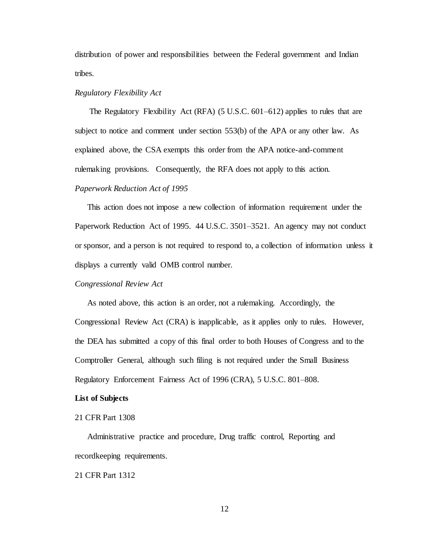distribution of power and responsibilities between the Federal government and Indian tribes.

# *Regulatory Flexibility Act*

The Regulatory Flexibility Act (RFA) (5 U.S.C. 601–612) applies to rules that are subject to notice and comment under section 553(b) of the APA or any other law. As explained above, the CSA exempts this order from the APA notice-and-comment rulemaking provisions. Consequently, the RFA does not apply to this action. *Paperwork Reduction Act of 1995*

This action does not impose a new collection of information requirement under the Paperwork Reduction Act of 1995. 44 U.S.C. 3501–3521. An agency may not conduct or sponsor, and a person is not required to respond to, a collection of information unless it displays a currently valid OMB control number.

## *Congressional Review Act*

As noted above, this action is an order, not a rulemaking. Accordingly, the Congressional Review Act (CRA) is inapplicable, as it applies only to rules. However, the DEA has submitted a copy of this final order to both Houses of Congress and to the Comptroller General, although such filing is not required under the Small Business Regulatory Enforcement Fairness Act of 1996 (CRA), 5 U.S.C. 801–808.

## **List of Subjects**

#### 21 CFR Part 1308

Administrative practice and procedure, Drug traffic control, Reporting and recordkeeping requirements.

21 CFR Part 1312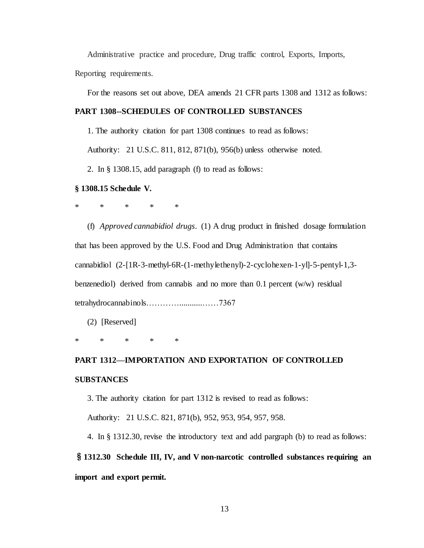Administrative practice and procedure, Drug traffic control, Exports, Imports, Reporting requirements.

For the reasons set out above, DEA amends 21 CFR parts 1308 and 1312 as follows:

# **PART 1308--SCHEDULES OF CONTROLLED SUBSTANCES**

1. The authority citation for part 1308 continues to read as follows:

Authority: 21 U.S.C. 811, 812, 871(b), 956(b) unless otherwise noted.

2. In § 1308.15, add paragraph (f) to read as follows:

# **§ 1308.15 Schedule V.**

\* \* \* \* \*

(f) *Approved cannabidiol drugs*. (1) A drug product in finished dosage formulation that has been approved by the U.S. Food and Drug Administration that contains cannabidiol (2-[1R-3-methyl-6R-(1-methylethenyl)-2-cyclohexen-1-yl]-5-pentyl-1,3 benzenediol) derived from cannabis and no more than 0.1 percent (w/w) residual tetrahydrocannabinols…………...........……7367

(2) [Reserved]

\* \* \* \* \*

# **PART 1312—IMPORTATION AND EXPORTATION OF CONTROLLED SUBSTANCES**

3. The authority citation for part 1312 is revised to read as follows:

Authority: 21 U.S.C. 821, 871(b), 952, 953, 954, 957, 958.

4. In § 1312.30, revise the introductory text and add pargraph (b) to read as follows:

§**1312.30 Schedule III, IV, and V non-narcotic controlled substances requiring an import and export permit.**